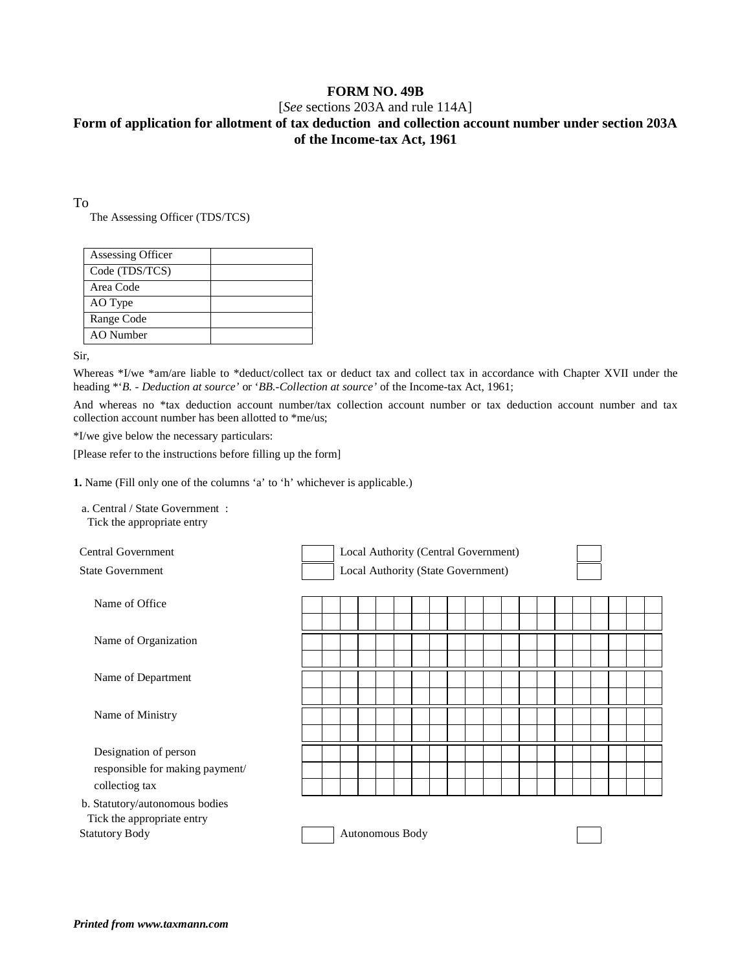## **FORM NO. 49B**

### [*See* sections 203A and rule 114A]

# **Form of application for allotment of tax deduction and collection account number under section 203A of the Income-tax Act, 1961**

To

The Assessing Officer (TDS/TCS)

| Assessing Officer |  |
|-------------------|--|
| Code (TDS/TCS)    |  |
| Area Code         |  |
| AO Type           |  |
| Range Code        |  |
| AO Number         |  |
|                   |  |

Sir,

Whereas \*I/we \*am/are liable to \*deduct/collect tax or deduct tax and collect tax in accordance with Chapter XVII under the heading \*'*B. - Deduction at source'* or '*BB.-Collection at source'* of the Income-tax Act, 1961;

And whereas no \*tax deduction account number/tax collection account number or tax deduction account number and tax collection account number has been allotted to \*me/us;

\*I/we give below the necessary particulars:

[Please refer to the instructions before filling up the form]

**1.** Name (Fill only one of the columns 'a' to 'h' whichever is applicable.)

a. Central / State Government : Tick the appropriate entry

| <b>Central Government</b>                                                             | Local Authority (Central Government) |  |  |  |  |  |  |  |  |  |  |  |  |  |  |  |  |
|---------------------------------------------------------------------------------------|--------------------------------------|--|--|--|--|--|--|--|--|--|--|--|--|--|--|--|--|
| <b>State Government</b>                                                               | Local Authority (State Government)   |  |  |  |  |  |  |  |  |  |  |  |  |  |  |  |  |
| Name of Office                                                                        |                                      |  |  |  |  |  |  |  |  |  |  |  |  |  |  |  |  |
| Name of Organization                                                                  |                                      |  |  |  |  |  |  |  |  |  |  |  |  |  |  |  |  |
| Name of Department                                                                    |                                      |  |  |  |  |  |  |  |  |  |  |  |  |  |  |  |  |
| Name of Ministry                                                                      |                                      |  |  |  |  |  |  |  |  |  |  |  |  |  |  |  |  |
| Designation of person<br>responsible for making payment/<br>collectiog tax            |                                      |  |  |  |  |  |  |  |  |  |  |  |  |  |  |  |  |
| b. Statutory/autonomous bodies<br>Tick the appropriate entry<br><b>Statutory Body</b> | Autonomous Body                      |  |  |  |  |  |  |  |  |  |  |  |  |  |  |  |  |
|                                                                                       |                                      |  |  |  |  |  |  |  |  |  |  |  |  |  |  |  |  |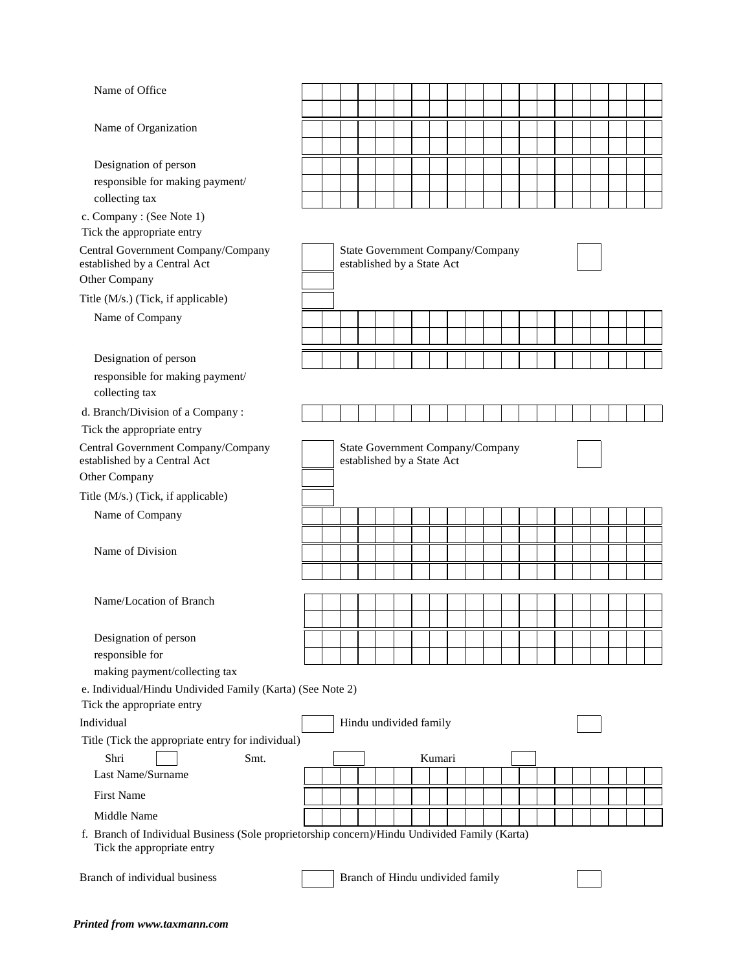| Name of Office                                                                                                              |                                                                |  |                                  |  |  |  |  |        |  |  |  |  |  |  |  |  |  |  |
|-----------------------------------------------------------------------------------------------------------------------------|----------------------------------------------------------------|--|----------------------------------|--|--|--|--|--------|--|--|--|--|--|--|--|--|--|--|
|                                                                                                                             |                                                                |  |                                  |  |  |  |  |        |  |  |  |  |  |  |  |  |  |  |
| Name of Organization                                                                                                        |                                                                |  |                                  |  |  |  |  |        |  |  |  |  |  |  |  |  |  |  |
| Designation of person                                                                                                       |                                                                |  |                                  |  |  |  |  |        |  |  |  |  |  |  |  |  |  |  |
| responsible for making payment/                                                                                             |                                                                |  |                                  |  |  |  |  |        |  |  |  |  |  |  |  |  |  |  |
| collecting tax                                                                                                              |                                                                |  |                                  |  |  |  |  |        |  |  |  |  |  |  |  |  |  |  |
| c. Company: (See Note 1)                                                                                                    |                                                                |  |                                  |  |  |  |  |        |  |  |  |  |  |  |  |  |  |  |
| Tick the appropriate entry                                                                                                  |                                                                |  |                                  |  |  |  |  |        |  |  |  |  |  |  |  |  |  |  |
| Central Government Company/Company<br>established by a Central Act                                                          | State Government Company/Company<br>established by a State Act |  |                                  |  |  |  |  |        |  |  |  |  |  |  |  |  |  |  |
| Other Company                                                                                                               |                                                                |  |                                  |  |  |  |  |        |  |  |  |  |  |  |  |  |  |  |
| Title (M/s.) (Tick, if applicable)                                                                                          |                                                                |  |                                  |  |  |  |  |        |  |  |  |  |  |  |  |  |  |  |
| Name of Company                                                                                                             |                                                                |  |                                  |  |  |  |  |        |  |  |  |  |  |  |  |  |  |  |
|                                                                                                                             |                                                                |  |                                  |  |  |  |  |        |  |  |  |  |  |  |  |  |  |  |
| Designation of person                                                                                                       |                                                                |  |                                  |  |  |  |  |        |  |  |  |  |  |  |  |  |  |  |
| responsible for making payment/<br>collecting tax                                                                           |                                                                |  |                                  |  |  |  |  |        |  |  |  |  |  |  |  |  |  |  |
| d. Branch/Division of a Company:                                                                                            |                                                                |  |                                  |  |  |  |  |        |  |  |  |  |  |  |  |  |  |  |
| Tick the appropriate entry                                                                                                  |                                                                |  |                                  |  |  |  |  |        |  |  |  |  |  |  |  |  |  |  |
| Central Government Company/Company<br>established by a Central Act<br>Other Company                                         | State Government Company/Company<br>established by a State Act |  |                                  |  |  |  |  |        |  |  |  |  |  |  |  |  |  |  |
| Title (M/s.) (Tick, if applicable)                                                                                          |                                                                |  |                                  |  |  |  |  |        |  |  |  |  |  |  |  |  |  |  |
| Name of Company                                                                                                             |                                                                |  |                                  |  |  |  |  |        |  |  |  |  |  |  |  |  |  |  |
|                                                                                                                             |                                                                |  |                                  |  |  |  |  |        |  |  |  |  |  |  |  |  |  |  |
| Name of Division                                                                                                            |                                                                |  |                                  |  |  |  |  |        |  |  |  |  |  |  |  |  |  |  |
|                                                                                                                             |                                                                |  |                                  |  |  |  |  |        |  |  |  |  |  |  |  |  |  |  |
|                                                                                                                             |                                                                |  |                                  |  |  |  |  |        |  |  |  |  |  |  |  |  |  |  |
| Name/Location of Branch                                                                                                     |                                                                |  |                                  |  |  |  |  |        |  |  |  |  |  |  |  |  |  |  |
|                                                                                                                             |                                                                |  |                                  |  |  |  |  |        |  |  |  |  |  |  |  |  |  |  |
| Designation of person                                                                                                       |                                                                |  |                                  |  |  |  |  |        |  |  |  |  |  |  |  |  |  |  |
| responsible for                                                                                                             |                                                                |  |                                  |  |  |  |  |        |  |  |  |  |  |  |  |  |  |  |
| making payment/collecting tax<br>e. Individual/Hindu Undivided Family (Karta) (See Note 2)                                  |                                                                |  |                                  |  |  |  |  |        |  |  |  |  |  |  |  |  |  |  |
| Tick the appropriate entry                                                                                                  |                                                                |  |                                  |  |  |  |  |        |  |  |  |  |  |  |  |  |  |  |
| Individual                                                                                                                  |                                                                |  | Hindu undivided family           |  |  |  |  |        |  |  |  |  |  |  |  |  |  |  |
| Title (Tick the appropriate entry for individual)                                                                           |                                                                |  |                                  |  |  |  |  |        |  |  |  |  |  |  |  |  |  |  |
| Shri<br>Smt.                                                                                                                |                                                                |  |                                  |  |  |  |  | Kumari |  |  |  |  |  |  |  |  |  |  |
| Last Name/Surname                                                                                                           |                                                                |  |                                  |  |  |  |  |        |  |  |  |  |  |  |  |  |  |  |
| <b>First Name</b>                                                                                                           |                                                                |  |                                  |  |  |  |  |        |  |  |  |  |  |  |  |  |  |  |
| Middle Name                                                                                                                 |                                                                |  |                                  |  |  |  |  |        |  |  |  |  |  |  |  |  |  |  |
| f. Branch of Individual Business (Sole proprietorship concern)/Hindu Undivided Family (Karta)<br>Tick the appropriate entry |                                                                |  |                                  |  |  |  |  |        |  |  |  |  |  |  |  |  |  |  |
| Branch of individual business                                                                                               |                                                                |  | Branch of Hindu undivided family |  |  |  |  |        |  |  |  |  |  |  |  |  |  |  |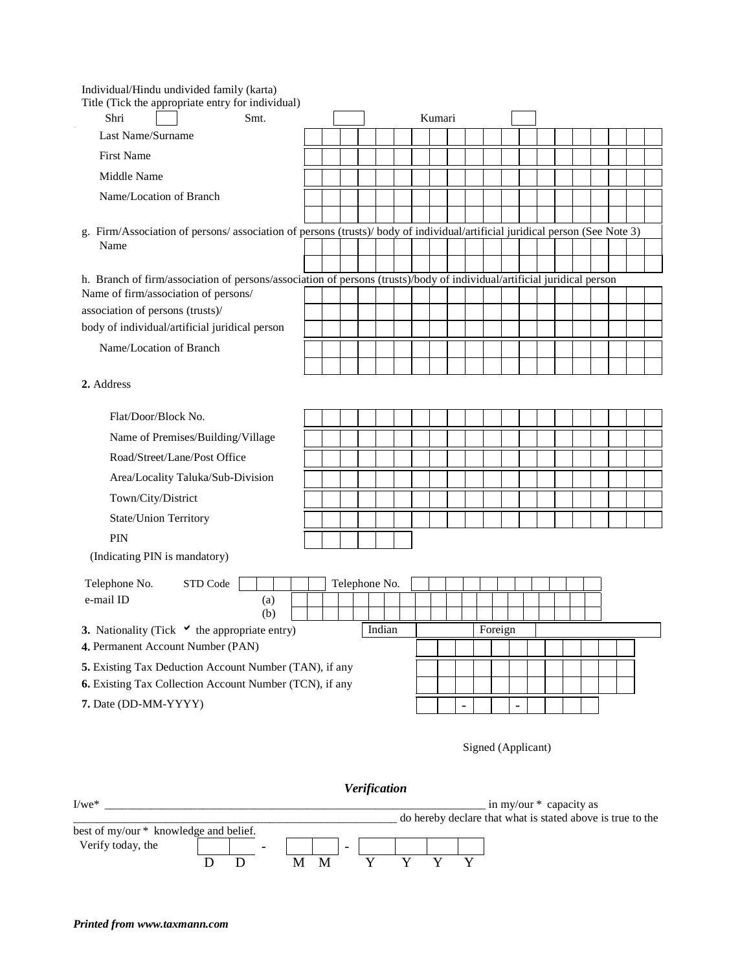Individual/Hindu undivided family (karta)

| Title (Tick the appropriate entry for individual)                                                                                                               |  |               |        |  |        |                |         |  |  |  |  |  |
|-----------------------------------------------------------------------------------------------------------------------------------------------------------------|--|---------------|--------|--|--------|----------------|---------|--|--|--|--|--|
| Shri<br>Smt.                                                                                                                                                    |  |               |        |  | Kumari |                |         |  |  |  |  |  |
| Last Name/Surname                                                                                                                                               |  |               |        |  |        |                |         |  |  |  |  |  |
| <b>First Name</b>                                                                                                                                               |  |               |        |  |        |                |         |  |  |  |  |  |
| Middle Name                                                                                                                                                     |  |               |        |  |        |                |         |  |  |  |  |  |
| Name/Location of Branch                                                                                                                                         |  |               |        |  |        |                |         |  |  |  |  |  |
|                                                                                                                                                                 |  |               |        |  |        |                |         |  |  |  |  |  |
| g. Firm/Association of persons/association of persons (trusts)/body of individual/artificial juridical person (See Note 3)<br>Name                              |  |               |        |  |        |                |         |  |  |  |  |  |
|                                                                                                                                                                 |  |               |        |  |        |                |         |  |  |  |  |  |
| h. Branch of firm/association of persons/association of persons (trusts)/body of individual/artificial juridical person<br>Name of firm/association of persons/ |  |               |        |  |        |                |         |  |  |  |  |  |
| association of persons (trusts)/                                                                                                                                |  |               |        |  |        |                |         |  |  |  |  |  |
| body of individual/artificial juridical person                                                                                                                  |  |               |        |  |        |                |         |  |  |  |  |  |
| Name/Location of Branch                                                                                                                                         |  |               |        |  |        |                |         |  |  |  |  |  |
|                                                                                                                                                                 |  |               |        |  |        |                |         |  |  |  |  |  |
| 2. Address                                                                                                                                                      |  |               |        |  |        |                |         |  |  |  |  |  |
| Flat/Door/Block No.                                                                                                                                             |  |               |        |  |        |                |         |  |  |  |  |  |
|                                                                                                                                                                 |  |               |        |  |        |                |         |  |  |  |  |  |
| Name of Premises/Building/Village                                                                                                                               |  |               |        |  |        |                |         |  |  |  |  |  |
| Road/Street/Lane/Post Office                                                                                                                                    |  |               |        |  |        |                |         |  |  |  |  |  |
| Area/Locality Taluka/Sub-Division                                                                                                                               |  |               |        |  |        |                |         |  |  |  |  |  |
| Town/City/District                                                                                                                                              |  |               |        |  |        |                |         |  |  |  |  |  |
| <b>State/Union Territory</b>                                                                                                                                    |  |               |        |  |        |                |         |  |  |  |  |  |
| <b>PIN</b>                                                                                                                                                      |  |               |        |  |        |                |         |  |  |  |  |  |
| (Indicating PIN is mandatory)                                                                                                                                   |  |               |        |  |        |                |         |  |  |  |  |  |
| STD Code<br>Telephone No.                                                                                                                                       |  | Telephone No. |        |  |        |                |         |  |  |  |  |  |
| e-mail ID<br>(a)                                                                                                                                                |  |               |        |  |        |                |         |  |  |  |  |  |
| (b)                                                                                                                                                             |  |               |        |  |        |                |         |  |  |  |  |  |
| 3. Nationality (Tick $\checkmark$ the appropriate entry)                                                                                                        |  |               | Indian |  |        |                | Foreign |  |  |  |  |  |
| 4. Permanent Account Number (PAN)                                                                                                                               |  |               |        |  |        |                |         |  |  |  |  |  |
| 5. Existing Tax Deduction Account Number (TAN), if any                                                                                                          |  |               |        |  |        |                |         |  |  |  |  |  |
| 6. Existing Tax Collection Account Number (TCN), if any                                                                                                         |  |               |        |  |        |                |         |  |  |  |  |  |
| 7. Date (DD-MM-YYYY)                                                                                                                                            |  |               |        |  |        | $\overline{a}$ |         |  |  |  |  |  |

Signed (Applicant)

*Verification*  I/we\* \_\_\_\_\_\_\_\_\_\_\_\_\_\_\_\_\_\_\_\_\_\_\_\_\_\_\_\_\_\_\_\_\_\_\_\_\_\_\_\_\_\_\_\_\_\_\_\_\_\_\_\_\_\_\_\_\_\_\_\_\_\_\_\_\_\_ in my/our \* capacity as \_\_\_\_\_\_\_\_\_\_\_\_\_\_\_\_\_\_\_\_\_\_\_\_\_\_\_\_\_\_\_\_\_\_\_\_\_\_\_\_\_\_\_\_\_\_\_\_\_\_\_\_\_\_\_\_ do hereby declare that what is stated above is true to the best of my/our \* knowledge and belief. Verify today, the - - D D M M Y Y Y Y